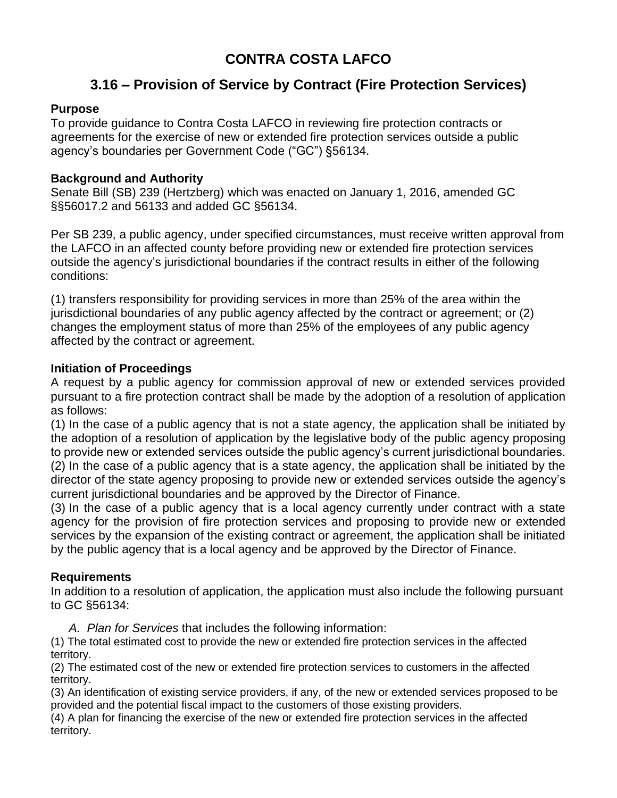# **CONTRA COSTA LAFCO**

# **3.16 – Provision of Service by Contract (Fire Protection Services)**

## **Purpose**

To provide guidance to Contra Costa LAFCO in reviewing fire protection contracts or agreements for the exercise of new or extended fire protection services outside a public agency's boundaries per Government Code ("GC") §56134.

#### **Background and Authority**

Senate Bill (SB) 239 (Hertzberg) which was enacted on January 1, 2016, amended GC §§56017.2 and 56133 and added GC §56134.

Per SB 239, a public agency, under specified circumstances, must receive written approval from the LAFCO in an affected county before providing new or extended fire protection services outside the agency's jurisdictional boundaries if the contract results in either of the following conditions:

(1) transfers responsibility for providing services in more than 25% of the area within the jurisdictional boundaries of any public agency affected by the contract or agreement; or (2) changes the employment status of more than 25% of the employees of any public agency affected by the contract or agreement.

## **Initiation of Proceedings**

A request by a public agency for commission approval of new or extended services provided pursuant to a fire protection contract shall be made by the adoption of a resolution of application as follows:

(1) In the case of a public agency that is not a state agency, the application shall be initiated by the adoption of a resolution of application by the legislative body of the public agency proposing to provide new or extended services outside the public agency's current jurisdictional boundaries. (2) In the case of a public agency that is a state agency, the application shall be initiated by the director of the state agency proposing to provide new or extended services outside the agency's current jurisdictional boundaries and be approved by the Director of Finance.

(3) In the case of a public agency that is a local agency currently under contract with a state agency for the provision of fire protection services and proposing to provide new or extended services by the expansion of the existing contract or agreement, the application shall be initiated by the public agency that is a local agency and be approved by the Director of Finance.

# **Requirements**

In addition to a resolution of application, the application must also include the following pursuant to GC §56134:

*A. Plan for Services* that includes the following information:

(1) The total estimated cost to provide the new or extended fire protection services in the affected territory.

(2) The estimated cost of the new or extended fire protection services to customers in the affected territory.

(3) An identification of existing service providers, if any, of the new or extended services proposed to be provided and the potential fiscal impact to the customers of those existing providers.

(4) A plan for financing the exercise of the new or extended fire protection services in the affected territory.